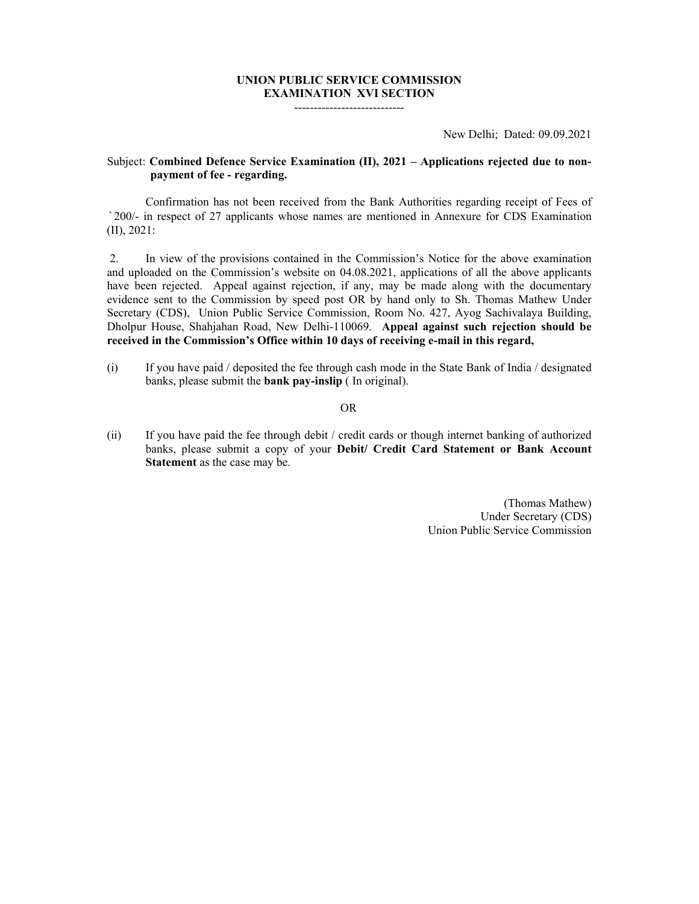## **UNION PUBLIC SERVICE COMMISSION EXAMINATION XVI SECTION**

----------------------------

New Delhi; Dated: 09.09.2021

## Subject: **Combined Defence Service Examination (II), 2021 – Applications rejected due to nonpayment of fee - regarding.**

 Confirmation has not been received from the Bank Authorities regarding receipt of Fees of `200/- in respect of 27 applicants whose names are mentioned in Annexure for CDS Examination (II), 2021:

 2. In view of the provisions contained in the Commission's Notice for the above examination and uploaded on the Commission's website on 04.08.2021, applications of all the above applicants have been rejected. Appeal against rejection, if any, may be made along with the documentary evidence sent to the Commission by speed post OR by hand only to Sh. Thomas Mathew Under Secretary (CDS), Union Public Service Commission, Room No. 427, Ayog Sachivalaya Building, Dholpur House, Shahjahan Road, New Delhi-110069. **Appeal against such rejection should be received in the Commission's Office within 10 days of receiving e-mail in this regard,**

(i) If you have paid / deposited the fee through cash mode in the State Bank of India / designated banks, please submit the **bank pay-inslip** ( In original).

## **OR** STREET IN THE STREET IS NOT THE STREET IN THE STREET IS NOT THE STREET IN THE STREET IS NOT THE STREET IN THE STREET IS NOT THE STREET IN THE STREET IS NOT THE STREET IN THE STREET IS NOT THE STREET IN THE STREET IS N

(ii) If you have paid the fee through debit / credit cards or though internet banking of authorized banks, please submit a copy of your **Debit/ Credit Card Statement or Bank Account Statement** as the case may be.

> (Thomas Mathew) Under Secretary (CDS) Union Public Service Commission